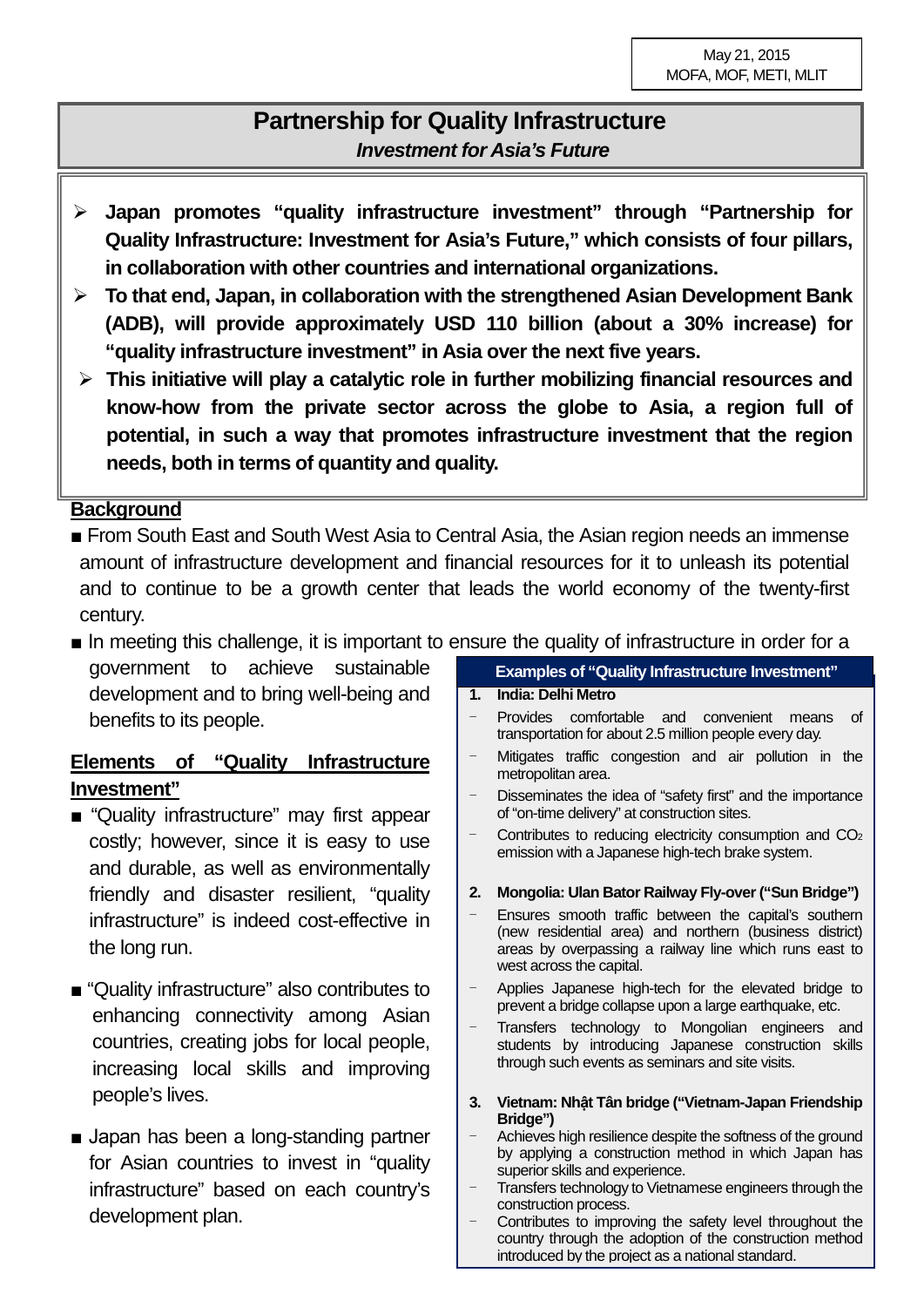# **Partnership for Quality Infrastructure** *Investment for Asia's Future*

- **Japan promotes "quality infrastructure investment" through "Partnership for Quality Infrastructure: Investment for Asia's Future," which consists of four pillars, in collaboration with other countries and international organizations.**
- **To that end, Japan, in collaboration with the strengthened Asian Development Bank (ADB), will provide approximately USD 110 billion (about a 30% increase) for "quality infrastructure investment" in Asia over the next five years.**
- **This initiative will play a catalytic role in further mobilizing financial resources and know-how from the private sector across the globe to Asia, a region full of potential, in such a way that promotes infrastructure investment that the region needs, both in terms of quantity and quality.**

# **Background**

- From South East and South West Asia to Central Asia, the Asian region needs an immense amount of infrastructure development and financial resources for it to unleash its potential and to continue to be a growth center that leads the world economy of the twenty-first century.
- In meeting this challenge, it is important to ensure the quality of infrastructure in order for a

government to achieve sustainable development and to bring well-being and benefits to its people.

# **Elements of "Quality Infrastructure Investment"**

- "Quality infrastructure" may first appear costly; however, since it is easy to use and durable, as well as environmentally friendly and disaster resilient, "quality infrastructure" is indeed cost-effective in the long run.
- "Quality infrastructure" also contributes to enhancing connectivity among Asian countries, creating jobs for local people, increasing local skills and improving people's lives.
- Japan has been a long-standing partner for Asian countries to invest in "quality infrastructure" based on each country's development plan.

#### **Examples of "Quality Infrastructure Investment"**

#### **1. India: Delhi Metro**

- Provides comfortable and convenient means of transportation for about 2.5 million people every day.
- Mitigates traffic congestion and air pollution in the metropolitan area.
- Disseminates the idea of "safety first" and the importance of "on-time delivery" at construction sites.
- Contributes to reducing electricity consumption and CO<sub>2</sub> emission with a Japanese high-tech brake system.

#### **2. Mongolia: Ulan Bator Railway Fly-over("Sun Bridge")**

- Ensures smooth traffic between the capital's southern (new residential area) and northern (business district) areas by overpassing a railway line which runs east to west across the capital.
- Applies Japanese high-tech for the elevated bridge to prevent a bridge collapse upon a large earthquake, etc.
- Transfers technology to Mongolian engineers and students by introducing Japanese construction skills through such events as seminars and site visits.
- **3. Vietnam: Nhật Tân bridge ("Vietnam-Japan Friendship Bridge")**
- Achieves high resilience despite the softness of the ground by applying a construction method in which Japan has superior skills and experience.
- Transfers technology to Vietnamese engineers through the construction process.
- Contributes to improving the safety level throughout the country through the adoption of the construction method introduced by the project as a national standard.